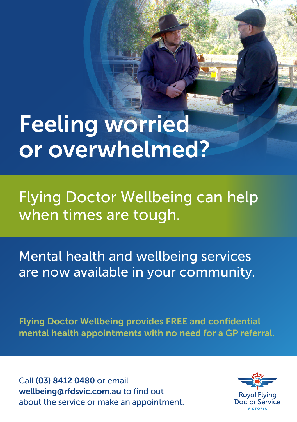## Feeling worried or overwhelmed?

Flying Doctor Wellbeing can help when times are tough.

Mental health and wellbeing services are now available in your community.

Flying Doctor Wellbeing provides FREE and confidential mental health appointments with no need for a GP referral.

Call (03) 8412 0480 or email wellbeing@rfdsvic.com.au to find out about the service or make an appointment.